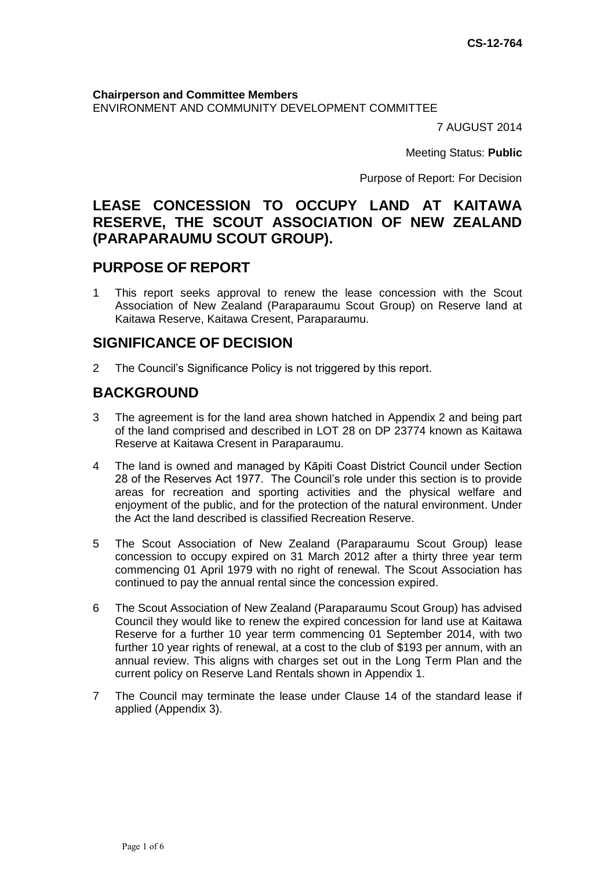**Chairperson and Committee Members** ENVIRONMENT AND COMMUNITY DEVELOPMENT COMMITTEE

7 AUGUST 2014

Meeting Status: **Public**

Purpose of Report: For Decision

# **LEASE CONCESSION TO OCCUPY LAND AT KAITAWA RESERVE, THE SCOUT ASSOCIATION OF NEW ZEALAND (PARAPARAUMU SCOUT GROUP).**

## **PURPOSE OF REPORT**

1 This report seeks approval to renew the lease concession with the Scout Association of New Zealand (Paraparaumu Scout Group) on Reserve land at Kaitawa Reserve, Kaitawa Cresent, Paraparaumu.

## **SIGNIFICANCE OF DECISION**

2 The Council's Significance Policy is not triggered by this report.

# **BACKGROUND**

- 3 The agreement is for the land area shown hatched in Appendix 2 and being part of the land comprised and described in LOT 28 on DP 23774 known as Kaitawa Reserve at Kaitawa Cresent in Paraparaumu.
- 4 The land is owned and managed by Kāpiti Coast District Council under Section 28 of the Reserves Act 1977. The Council's role under this section is to provide areas for recreation and sporting activities and the physical welfare and enjoyment of the public, and for the protection of the natural environment. Under the Act the land described is classified Recreation Reserve.
- 5 The Scout Association of New Zealand (Paraparaumu Scout Group) lease concession to occupy expired on 31 March 2012 after a thirty three year term commencing 01 April 1979 with no right of renewal. The Scout Association has continued to pay the annual rental since the concession expired.
- 6 The Scout Association of New Zealand (Paraparaumu Scout Group) has advised Council they would like to renew the expired concession for land use at Kaitawa Reserve for a further 10 year term commencing 01 September 2014, with two further 10 year rights of renewal, at a cost to the club of \$193 per annum, with an annual review. This aligns with charges set out in the Long Term Plan and the current policy on Reserve Land Rentals shown in Appendix 1.
- 7 The Council may terminate the lease under Clause 14 of the standard lease if applied (Appendix 3).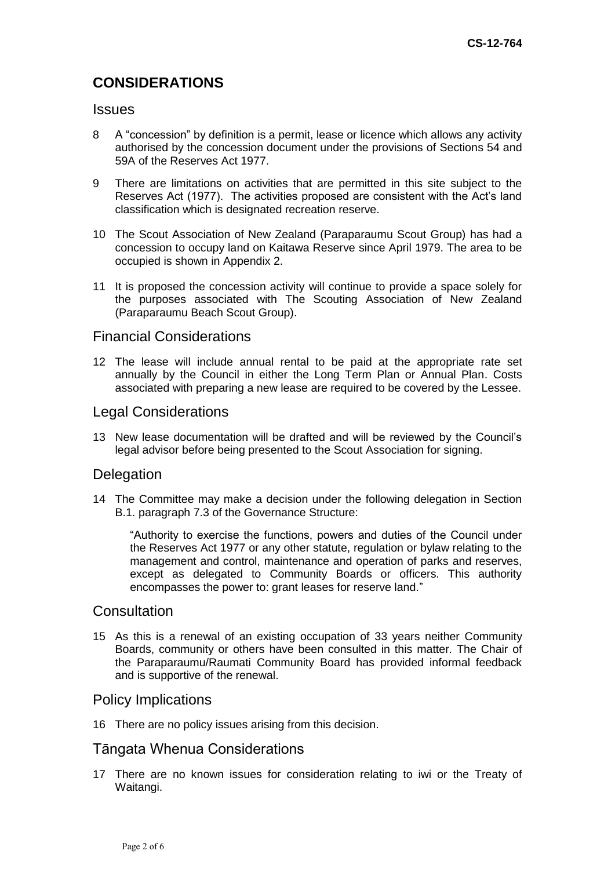# **CONSIDERATIONS**

#### **Issues**

- 8 A "concession" by definition is a permit, lease or licence which allows any activity authorised by the concession document under the provisions of Sections 54 and 59A of the Reserves Act 1977.
- 9 There are limitations on activities that are permitted in this site subject to the Reserves Act (1977). The activities proposed are consistent with the Act's land classification which is designated recreation reserve.
- 10 The Scout Association of New Zealand (Paraparaumu Scout Group) has had a concession to occupy land on Kaitawa Reserve since April 1979. The area to be occupied is shown in Appendix 2.
- 11 It is proposed the concession activity will continue to provide a space solely for the purposes associated with The Scouting Association of New Zealand (Paraparaumu Beach Scout Group).

### Financial Considerations

12 The lease will include annual rental to be paid at the appropriate rate set annually by the Council in either the Long Term Plan or Annual Plan. Costs associated with preparing a new lease are required to be covered by the Lessee.

### Legal Considerations

13 New lease documentation will be drafted and will be reviewed by the Council's legal advisor before being presented to the Scout Association for signing.

#### **Delegation**

14 The Committee may make a decision under the following delegation in Section B.1. paragraph 7.3 of the Governance Structure:

"Authority to exercise the functions, powers and duties of the Council under the Reserves Act 1977 or any other statute, regulation or bylaw relating to the management and control, maintenance and operation of parks and reserves, except as delegated to Community Boards or officers. This authority encompasses the power to: grant leases for reserve land."

### **Consultation**

15 As this is a renewal of an existing occupation of 33 years neither Community Boards, community or others have been consulted in this matter. The Chair of the Paraparaumu/Raumati Community Board has provided informal feedback and is supportive of the renewal.

#### Policy Implications

16 There are no policy issues arising from this decision.

### Tāngata Whenua Considerations

17 There are no known issues for consideration relating to iwi or the Treaty of Waitangi.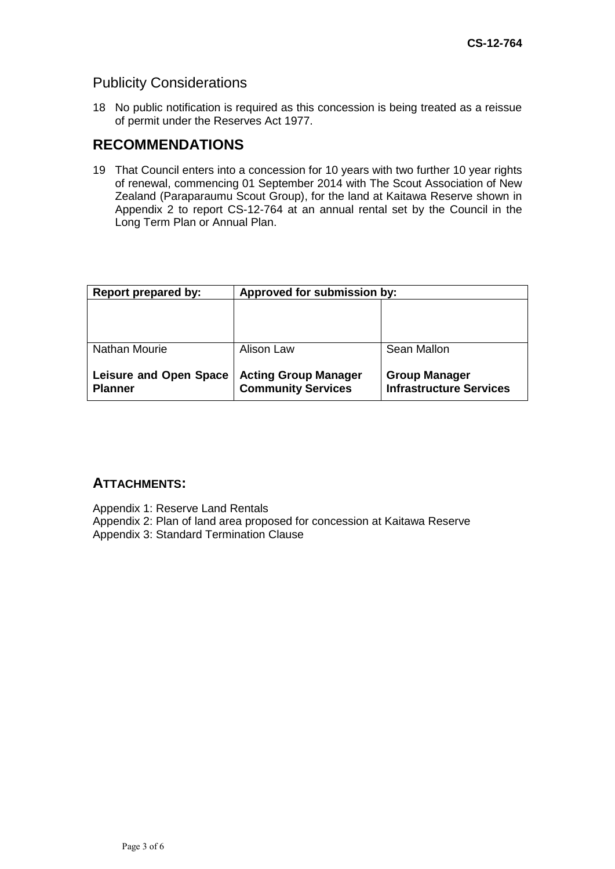## Publicity Considerations

18 No public notification is required as this concession is being treated as a reissue of permit under the Reserves Act 1977.

# **RECOMMENDATIONS**

19 That Council enters into a concession for 10 years with two further 10 year rights of renewal, commencing 01 September 2014 with The Scout Association of New Zealand (Paraparaumu Scout Group), for the land at Kaitawa Reserve shown in Appendix 2 to report CS-12-764 at an annual rental set by the Council in the Long Term Plan or Annual Plan.

| Report prepared by:                             | Approved for submission by:                              |                                                        |
|-------------------------------------------------|----------------------------------------------------------|--------------------------------------------------------|
|                                                 |                                                          |                                                        |
| Nathan Mourie                                   | Alison Law                                               | Sean Mallon                                            |
| <b>Leisure and Open Space</b><br><b>Planner</b> | <b>Acting Group Manager</b><br><b>Community Services</b> | <b>Group Manager</b><br><b>Infrastructure Services</b> |

### **ATTACHMENTS:**

Appendix 1: Reserve Land Rentals Appendix 2: Plan of land area proposed for concession at Kaitawa Reserve Appendix 3: Standard Termination Clause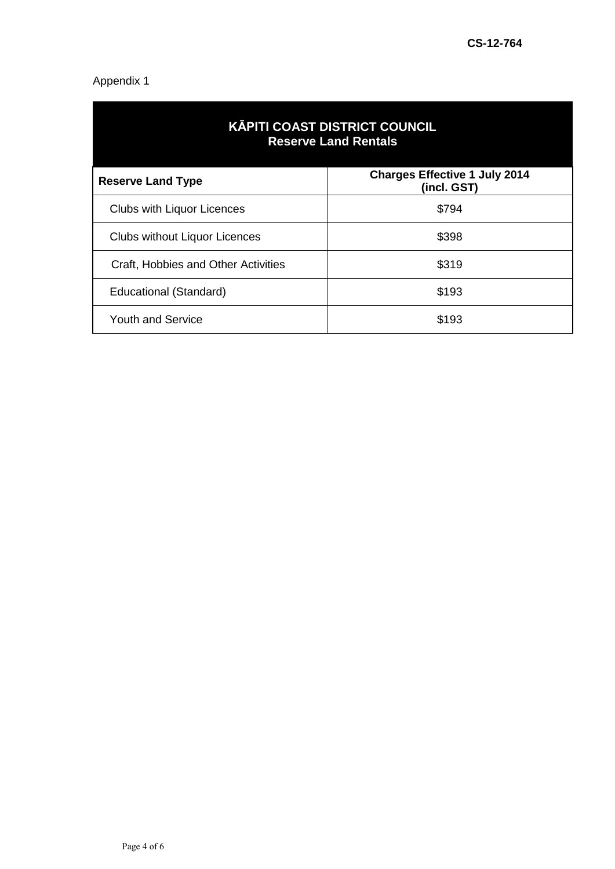## Appendix 1

| <b>KĀPITI COAST DISTRICT COUNCIL</b><br><b>Reserve Land Rentals</b> |                                                     |  |
|---------------------------------------------------------------------|-----------------------------------------------------|--|
| <b>Reserve Land Type</b>                                            | <b>Charges Effective 1 July 2014</b><br>(incl. GST) |  |
| <b>Clubs with Liquor Licences</b>                                   | \$794                                               |  |
| <b>Clubs without Liquor Licences</b>                                | \$398                                               |  |
| Craft, Hobbies and Other Activities                                 | \$319                                               |  |
| Educational (Standard)                                              | \$193                                               |  |
| <b>Youth and Service</b>                                            | \$193                                               |  |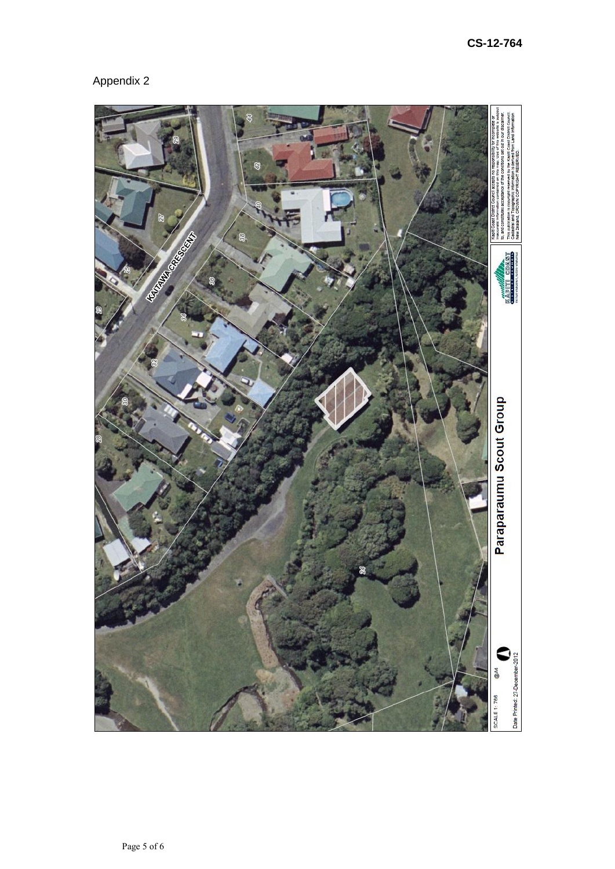# Appendix 2